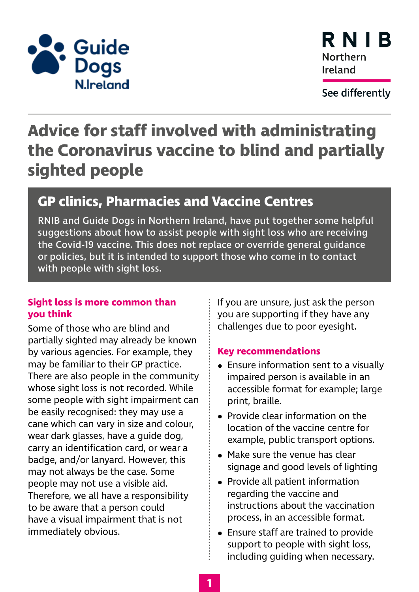



See differently

# **Advice for staff involved with administrating the Coronavirus vaccine to blind and partially sighted people**

# **GP clinics, Pharmacies and Vaccine Centres**

RNIB and Guide Dogs in Northern Ireland, have put together some helpful suggestions about how to assist people with sight loss who are receiving the Covid-19 vaccine. This does not replace or override general guidance or policies, but it is intended to support those who come in to contact with people with sight loss.

### **Sight loss is more common than you think**

Some of those who are blind and partially sighted may already be known by various agencies. For example, they may be familiar to their GP practice. There are also people in the community whose sight loss is not recorded. While some people with sight impairment can be easily recognised: they may use a cane which can vary in size and colour, wear dark glasses, have a guide dog, carry an identification card, or wear a badge, and/or lanyard. However, this may not always be the case. Some people may not use a visible aid. Therefore, we all have a responsibility to be aware that a person could have a visual impairment that is not immediately obvious.

If you are unsure, just ask the person you are supporting if they have any challenges due to poor eyesight.

### **Key recommendations**

- **•** Ensure information sent to a visually impaired person is available in an accessible format for example; large print, braille.
- **•** Provide clear information on the location of the vaccine centre for example, public transport options.
- **•** Make sure the venue has clear signage and good levels of lighting
- **•** Provide all patient information regarding the vaccine and instructions about the vaccination process, in an accessible format.
- **•** Ensure staff are trained to provide support to people with sight loss, including guiding when necessary.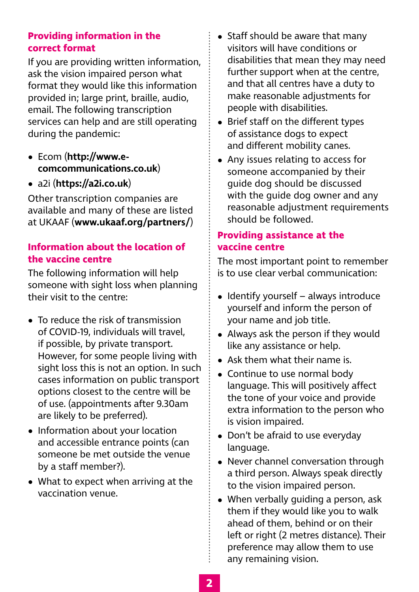#### **Providing information in the correct format**

If you are providing written information, ask the vision impaired person what format they would like this information provided in; large print, braille, audio, email. The following transcription services can help and are still operating during the pandemic:

- **•** [Ecom](http://www.ecomdda.com/) (**[http://www.e](http://www.e-comcommunications.co.uk)[comcommunications.co.uk](http://www.e-comcommunications.co.uk)**)
- **•** [a2i](http://www.a2i.co.uk/) (**<https://a2i.co.uk>**)

Other transcription companies are available and many of these are listed at [UKAAF](https://www.ukaaf.org/partners/) (**[www.ukaaf.org/partners/](https://www.ukaaf.org/partners/)**)

# **Information about the location of the vaccine centre**

The following information will help someone with sight loss when planning their visit to the centre:

- **•** To reduce the risk of transmission of COVID-19, individuals will travel, if possible, by private transport. However, for some people living with sight loss this is not an option. In such cases information on public transport options closest to the centre will be of use. (appointments after 9.30am are likely to be preferred).
- **•** Information about your location and accessible entrance points (can someone be met outside the venue by a staff member?).
- **•** What to expect when arriving at the vaccination venue.
- **•** Staff should be aware that many visitors will have conditions or disabilities that mean they may need further support when at the centre, and that all centres have a duty to make reasonable adjustments for people with disabilities.
- **•** Brief staff on the different types of [assistance dogs](https://www.bbc.co.uk/news/blogs-ouch-28195268) to expect and [different mobility canes.](https://www.rnib.org.uk/cane-explained)
- **•** Any issues relating to access for someone accompanied by their guide dog should be discussed with the guide dog owner and any reasonable adjustment requirements should be followed.

## **Providing assistance at the vaccine centre**

The most important point to remember is to use clear verbal communication:

- **•** Identify yourself always introduce yourself and inform the person of your name and job title.
- **•** Always ask the person if they would like any assistance or help.
- **•** Ask them what their name is.
- **•** Continue to use normal body language. This will positively affect the tone of your voice and provide extra information to the person who is vision impaired.
- **•** Don't be afraid to use everyday language.
- **•** Never channel conversation through a third person. Always speak directly to the vision impaired person.
- **•** When verbally guiding a person, ask them if they would like you to walk ahead of them, behind or on their left or right (2 metres distance). Their preference may allow them to use any remaining vision.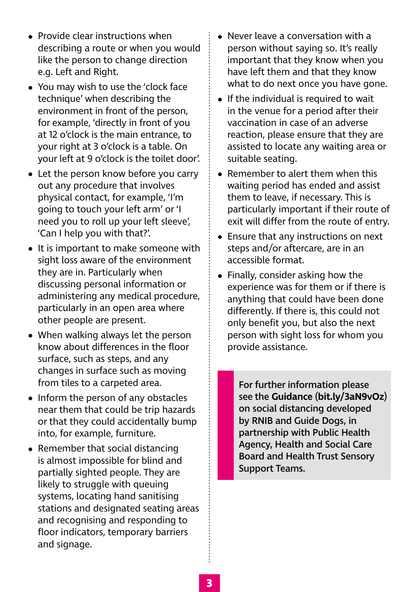- **•** Provide clear instructions when describing a route or when you would like the person to change direction e.g. Left and Right.
- **•** You may wish to use the 'clock face technique' when describing the environment in front of the person, for example, 'directly in front of you at 12 o'clock is the main entrance, to your right at 3 o'clock is a table. On your left at 9 o'clock is the toilet door'.
- **•** Let the person know before you carry out any procedure that involves physical contact, for example, 'I'm going to touch your left arm' or 'I need you to roll up your left sleeve', 'Can I help you with that?'.
- **•** It is important to make someone with sight loss aware of the environment they are in. Particularly when discussing personal information or administering any medical procedure, particularly in an open area where other people are present.
- **•** When walking always let the person know about differences in the floor surface, such as steps, and any changes in surface such as moving from tiles to a carpeted area.
- **•** Inform the person of any obstacles near them that could be trip hazards or that they could accidentally bump into, for example, furniture.
- **•** Remember that social distancing is almost impossible for blind and partially sighted people. They are likely to struggle with queuing systems, locating hand sanitising stations and designated seating areas and recognising and responding to floor indicators, temporary barriers and signage.
- **•** Never leave a conversation with a person without saying so. It's really important that they know when you have left them and that they know what to do next once you have gone.
- **•** If the individual is required to wait in the venue for a period after their vaccination in case of an adverse reaction, please ensure that they are assisted to locate any waiting area or suitable seating.
- **•** Remember to alert them when this waiting period has ended and assist them to leave, if necessary. This is particularly important if their route of exit will differ from the route of entry.
- **•** Ensure that any instructions on next steps and/or aftercare, are in an accessible format.
- **•** Finally, consider asking how the experience was for them or if there is anything that could have been done differently. If there is, this could not only benefit you, but also the next person with sight loss for whom you provide assistance.

For further information please see the **[Guidance](https://www.rnib.org.uk/sites/default/files/APDF_NI%20_Social_distancing_guidelines%20_2020.pdf)** (**[bit.ly/3aN9vOz](http://bit.ly/3aN9vOz)**) on social distancing developed by RNIB and Guide Dogs, in partnership with Public Health Agency, Health and Social Care Board and Health Trust Sensory Support Teams.